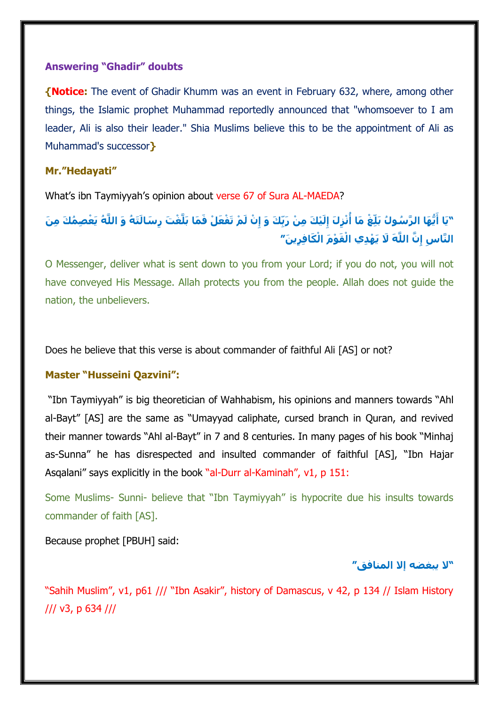#### **Answering "Ghadir" doubts**

**{Notice:** The event of Ghadir Khumm was an event in February 632, where, among other things, the Islamic prophet Muhammad reportedly announced that "whomsoever to I am leader, Ali is also their leader." Shia Muslims believe this to be the appointment of Ali as Muhammad's successor**}**

### **Mr."Hedayati"**

What's ibn Taymiyyah's opinion about verse 67 of Sura AL-MAEDA?

"يَا أَيُّهَا الرَّسُولُ بَلِّغْ مَا أُنْزِلَ إِلَيْكَ مِنْ رَبِّكَ وَ إِنْ لَمْ تَفْعَلْ فَمَا بَلَّغْتَ رِسَالَتَهُ وَ اللَّهُ يَعْصِمُكَ مِنَ **َّن اللَّ َه ََل يَ ْه ِّدي اْل َق ْو َم اْل َكافِّ ِّري َن ِّ الَّناسِّ " إ**

O Messenger, deliver what is sent down to you from your Lord; if you do not, you will not have conveyed His Message. Allah protects you from the people. Allah does not guide the nation, the unbelievers.

Does he believe that this verse is about commander of faithful Ali [AS] or not?

#### **Master "Husseini Qazvini":**

"Ibn Taymiyyah" is big theoretician of Wahhabism, his opinions and manners towards "Ahl al-Bayt" [AS] are the same as "Umayyad caliphate, cursed branch in Quran, and revived their manner towards "Ahl al-Bayt" in 7 and 8 centuries. In many pages of his book "Minhaj as-Sunna" he has disrespected and insulted commander of faithful [AS], "Ibn Hajar Asqalani" says explicitly in the book "al-Durr al-Kaminah", v1, p 151:

Some Muslims- Sunni- believe that "Ibn Taymiyyah" is hypocrite due his insults towards commander of faith [AS].

Because prophet [PBUH] said:

### **"َل يبغضه إَل المنافق"**

"Sahih Muslim", v1, p61 /// "Ibn Asakir", history of Damascus, v 42, p 134 // Islam History /// v3, p 634 ///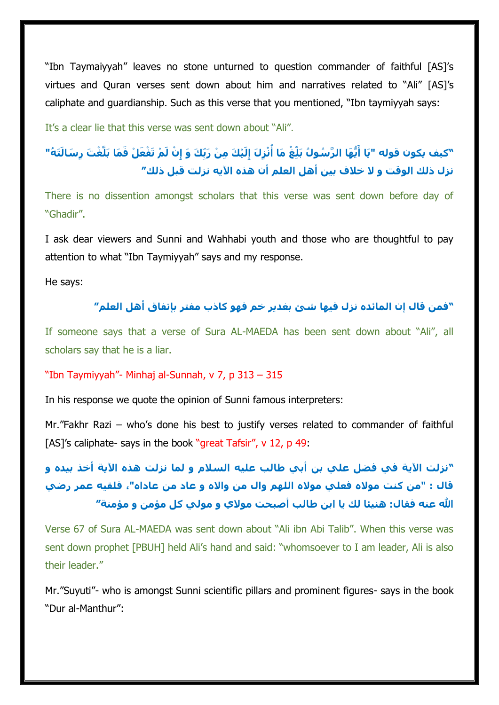"Ibn Taymaiyyah" leaves no stone unturned to question commander of faithful [AS]'s virtues and Quran verses sent down about him and narratives related to "Ali" [AS]'s caliphate and guardianship. Such as this verse that you mentioned, "Ibn taymiyyah says:

It's a clear lie that this verse was sent down about "Ali".

# "كيف يكون قوله "يَا أَيُّهَا الرَّسُولُ بَلِّغْ مَا أُنْزِلَ إِلَيْكَ مِنْ رَبِّكَ وَ إِنْ لَمْ تَفْعَلْ فَمَا بَلَّغْتَ رِسَالَتَهُ" **نزل ذلك الوقت و َل خالف بين أهل العلم أن هذه اآليه نزلت قبل ذلك"**

There is no dissention amongst scholars that this verse was sent down before day of "Ghadir".

I ask dear viewers and Sunni and Wahhabi youth and those who are thoughtful to pay attention to what "Ibn Taymiyyah" says and my response.

He says:

## **"فمن قال إن المائده نزل فيها شئ بغدير خم فهو كاذب مفتر بإتفاق أهل العلم"**

If someone says that a verse of Sura AL-MAEDA has been sent down about "Ali", all scholars say that he is a liar.

#### "Ibn Taymiyyah"- Minhaj al-Sunnah, v 7, p 313 – 315

In his response we quote the opinion of Sunni famous interpreters:

Mr."Fakhr Razi – who's done his best to justify verses related to commander of faithful [AS]'s caliphate- says in the book "great Tafsir", v 12, p 49:

# **"نزلت اآلية في فضل علي بن أبي طالب عليه السالم و لما نزلت هذه اآلية أخذ بيده و قال : "من كنت موَله فعلي موَله اللهم وال من واَله و عاد من عاداه"، فلقيه عمر رضي هللا عنه فقال: هنيئا لك يا ابن طالب أصبحت موَلي و مولي كل مؤمن و مؤمنة"**

Verse 67 of Sura AL-MAEDA was sent down about "Ali ibn Abi Talib". When this verse was sent down prophet [PBUH] held Ali's hand and said: "whomsoever to I am leader, Ali is also their leader."

Mr."Suyuti"- who is amongst Sunni scientific pillars and prominent figures- says in the book "Dur al-Manthur":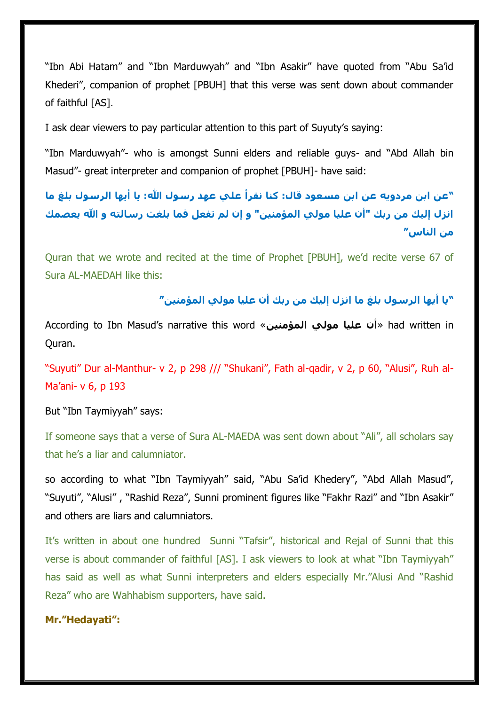"Ibn Abi Hatam" and "Ibn Marduwyah" and "Ibn Asakir" have quoted from "Abu Sa'id Khederi", companion of prophet [PBUH] that this verse was sent down about commander of faithful [AS].

I ask dear viewers to pay particular attention to this part of Suyuty's saying:

"Ibn Marduwyah"- who is amongst Sunni elders and reliable guys- and "Abd Allah bin Masud"- great interpreter and companion of prophet [PBUH]- have said:

**"عن ابن مردويه عن ابن مسعود قال: كنا نقرأ علي عهد رسول هللا: يا أيها الرسول بلغ ما انزل إليك من ربك "أن عليا مولي المؤمنين" و إن لم تفعل فما بلغت رسالته و هللا يعصمك من الناس"**

Quran that we wrote and recited at the time of Prophet [PBUH], we'd recite verse 67 of Sura AL-MAEDAH like this:

**"يا أيها الرسول بلغ ما انزل إليك من ربك أن عليا مولي المؤمنين"**

According to Ibn Masud's narrative this word «**المؤمنين مولي عليا أن** «had written in Quran.

"Suyuti" Dur al-Manthur- v 2, p 298 /// "Shukani", Fath al-qadir, v 2, p 60, "Alusi", Ruh al-Ma'ani- v 6, p 193

But "Ibn Taymiyyah" says:

If someone says that a verse of Sura AL-MAEDA was sent down about "Ali", all scholars say that he's a liar and calumniator.

so according to what "Ibn Taymiyyah" said, "Abu Sa'id Khedery", "Abd Allah Masud", "Suyuti", "Alusi" , "Rashid Reza", Sunni prominent figures like "Fakhr Razi" and "Ibn Asakir" and others are liars and calumniators.

It's written in about one hundred Sunni "Tafsir", historical and Rejal of Sunni that this verse is about commander of faithful [AS]. I ask viewers to look at what "Ibn Taymiyyah" has said as well as what Sunni interpreters and elders especially Mr."Alusi And "Rashid Reza" who are Wahhabism supporters, have said.

#### **Mr."Hedayati":**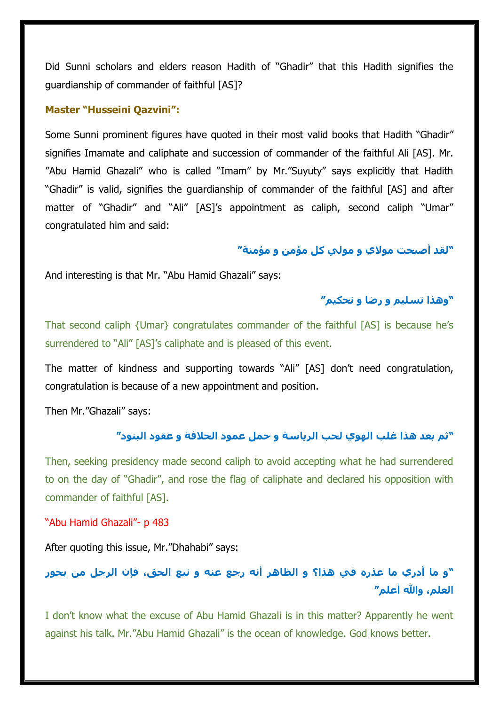Did Sunni scholars and elders reason Hadith of "Ghadir" that this Hadith signifies the guardianship of commander of faithful [AS]?

#### **Master "Husseini Qazvini":**

Some Sunni prominent figures have quoted in their most valid books that Hadith "Ghadir" signifies Imamate and caliphate and succession of commander of the faithful Ali [AS]. Mr. "Abu Hamid Ghazali" who is called "Imam" by Mr."Suyuty" says explicitly that Hadith "Ghadir" is valid, signifies the guardianship of commander of the faithful [AS] and after matter of "Ghadir" and "Ali" [AS]'s appointment as caliph, second caliph "Umar" congratulated him and said:

#### **"لقد أصبحت موَلي و مولي كل مؤمن و مؤمنة"**

And interesting is that Mr. "Abu Hamid Ghazali" says:

## **"وهذا تسليم و رضا و تحكيم"**

That second caliph {Umar} congratulates commander of the faithful [AS] is because he's surrendered to "Ali" [AS]'s caliphate and is pleased of this event.

The matter of kindness and supporting towards "Ali" [AS] don't need congratulation, congratulation is because of a new appointment and position.

Then Mr."Ghazali" says:

## **"ثم بعد هذا غلب الهوي لحب الرياسة و حمل عمود الخالفة و عقود البنود"**

Then, seeking presidency made second caliph to avoid accepting what he had surrendered to on the day of "Ghadir", and rose the flag of caliphate and declared his opposition with commander of faithful [AS].

"Abu Hamid Ghazali"- p 483

After quoting this issue, Mr."Dhahabi" says:

# **"و ما أدري ما عذره في هذا؟ و الظاهر أنه رجع عنه و تبع الحق، فإن الرجل من بحور العلم، وهللا أعلم"**

I don't know what the excuse of Abu Hamid Ghazali is in this matter? Apparently he went against his talk. Mr."Abu Hamid Ghazali" is the ocean of knowledge. God knows better.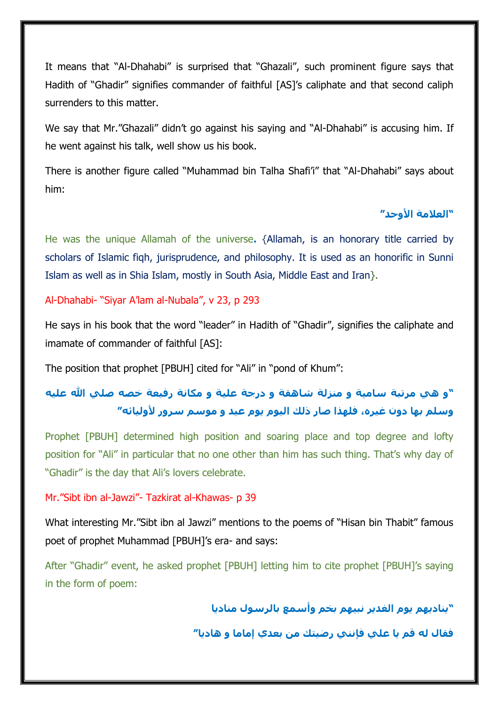It means that "Al-Dhahabi" is surprised that "Ghazali", such prominent figure says that Hadith of "Ghadir" signifies commander of faithful [AS]'s caliphate and that second caliph surrenders to this matter.

We say that Mr."Ghazali" didn't go against his saying and "Al-Dhahabi" is accusing him. If he went against his talk, well show us his book.

There is another figure called "Muhammad bin Talha Shafi'i" that "Al-Dhahabi" says about him:

## **"العالمة األوحد"**

He was the unique Allamah of the universe**.** {Allamah, is an honorary title carried by scholars of Islamic fiqh, jurisprudence, and philosophy. It is used as an honorific in Sunni Islam as well as in Shia Islam, mostly in South Asia, Middle East and Iran}.

## Al-Dhahabi- "Siyar A'lam al-Nubala", v 23, p 293

He says in his book that the word "leader" in Hadith of "Ghadir", signifies the caliphate and imamate of commander of faithful [AS]:

The position that prophet [PBUH] cited for "Ali" in "pond of Khum":

# **"و هي مرتبة سامية و منزلة شاهقة و درجة علية و مكانة رفيعة خصه صلي هللا عليه وسلم بها دون غيره، فلهذا صار ذلك اليوم يوم عيد و موسم سرور ألوليائه"**

Prophet [PBUH] determined high position and soaring place and top degree and lofty position for "Ali" in particular that no one other than him has such thing. That's why day of "Ghadir" is the day that Ali's lovers celebrate.

#### Mr."Sibt ibn al-Jawzi"- Tazkirat al-Khawas- p 39

What interesting Mr."Sibt ibn al Jawzi" mentions to the poems of "Hisan bin Thabit" famous poet of prophet Muhammad [PBUH]'s era- and says:

After "Ghadir" event, he asked prophet [PBUH] letting him to cite prophet [PBUH]'s saying in the form of poem:

**"يناديهم يوم الغدير نبيهم بخم وأسمع بالرسول مناديا**

**فقال له قم يا علي فإنني رضيتك من بعدي إماما و هاديا"**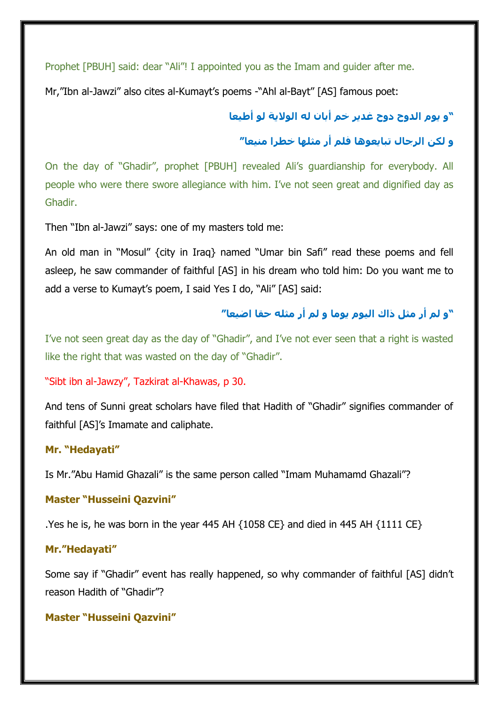Prophet [PBUH] said: dear "Ali"! I appointed you as the Imam and guider after me.

Mr,"Ibn al-Jawzi" also cites al-Kumayt's poems -"Ahl al-Bayt" [AS] famous poet:

# **"و يوم الدوح دوح غدير خم أبان له الوَلية لو أطيعا**

## **و لكن الرجال تبايعوها فلم أر مثلها خطرا منيعا"**

On the day of "Ghadir", prophet [PBUH] revealed Ali's guardianship for everybody. All people who were there swore allegiance with him. I've not seen great and dignified day as Ghadir.

Then "Ibn al-Jawzi" says: one of my masters told me:

An old man in "Mosul" {city in Iraq} named "Umar bin Safi" read these poems and fell asleep, he saw commander of faithful [AS] in his dream who told him: Do you want me to add a verse to Kumayt's poem, I said Yes I do, "Ali" [AS] said:

## **"و لم أر مثل ذاك اليوم يوما و لم أر مثله حقا اضيعا"**

I've not seen great day as the day of "Ghadir", and I've not ever seen that a right is wasted like the right that was wasted on the day of "Ghadir".

#### "Sibt ibn al-Jawzy", Tazkirat al-Khawas, p 30.

And tens of Sunni great scholars have filed that Hadith of "Ghadir" signifies commander of faithful [AS]'s Imamate and caliphate.

#### **Mr. "Hedayati"**

Is Mr."Abu Hamid Ghazali" is the same person called "Imam Muhamamd Ghazali"?

#### **Master "Husseini Qazvini"**

.Yes he is, he was born in the year 445 AH {1058 CE} and died in 445 AH {1111 CE}

#### **Mr."Hedayati"**

Some say if "Ghadir" event has really happened, so why commander of faithful [AS] didn't reason Hadith of "Ghadir"?

#### **Master "Husseini Qazvini"**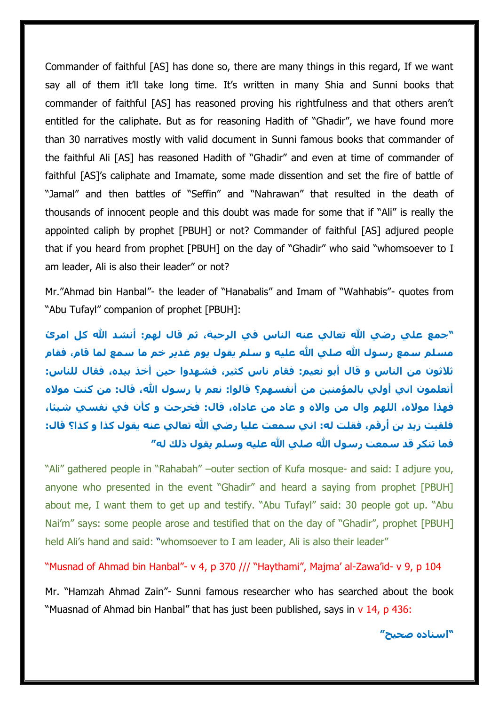Commander of faithful [AS] has done so, there are many things in this regard, If we want say all of them it'll take long time. It's written in many Shia and Sunni books that commander of faithful [AS] has reasoned proving his rightfulness and that others aren't entitled for the caliphate. But as for reasoning Hadith of "Ghadir", we have found more than 30 narratives mostly with valid document in Sunni famous books that commander of the faithful Ali [AS] has reasoned Hadith of "Ghadir" and even at time of commander of faithful [AS]'s caliphate and Imamate, some made dissention and set the fire of battle of "Jamal" and then battles of "Seffin" and "Nahrawan" that resulted in the death of thousands of innocent people and this doubt was made for some that if "Ali" is really the appointed caliph by prophet [PBUH] or not? Commander of faithful [AS] adjured people that if you heard from prophet [PBUH] on the day of "Ghadir" who said "whomsoever to I am leader, Ali is also their leader" or not?

Mr."Ahmad bin Hanbal"- the leader of "Hanabalis" and Imam of "Wahhabis"- quotes from "Abu Tufayl" companion of prophet [PBUH]:

**"جمع علي رضي هللا تعالي عنه الناس في الرحبة، ثم قال لهم: أنشد هللا كل امر مسلم سمع رسول هللا صلي هللا عليه و سلم يقول يوم غدير خم ما سمع لما قام، فقام ثالثون من الناس و قال أبو نعيم: فقام ناس كثير، فشهدوا حين أخذ بيده، فقال للناس: أتعلمون اني أولي بالمؤمنين من أنفسهم؟ قالوا: نعم يا رسول هللا، قال: من كنت موَله فهذا موَله، اللهم وال من واَله و عاد من عاداه، قال: فخرجت و كنن في نفسي شيئا، فلقيت زيد بن أرقم، فقلت له: اني سمعت عليا رضي هللا تعالي عنه يقول كذا و كذا؟ قال: فما تنكر قد سمعت رسول هللا صلي هللا عليه وسلم يقول ذلك له"**

"Ali" gathered people in "Rahabah" –outer section of Kufa mosque- and said: I adjure you, anyone who presented in the event "Ghadir" and heard a saying from prophet [PBUH] about me, I want them to get up and testify. "Abu Tufayl" said: 30 people got up. "Abu Nai'm" says: some people arose and testified that on the day of "Ghadir", prophet [PBUH] held Ali's hand and said: "whomsoever to I am leader, Ali is also their leader"

"Musnad of Ahmad bin Hanbal"- v 4, p 370 /// "Haythami", Majma' al-Zawa'id- v 9, p 104

Mr. "Hamzah Ahmad Zain"- Sunni famous researcher who has searched about the book "Muasnad of Ahmad bin Hanbal" that has just been published, says in v 14, p 436:

**"اسناده صحيح"**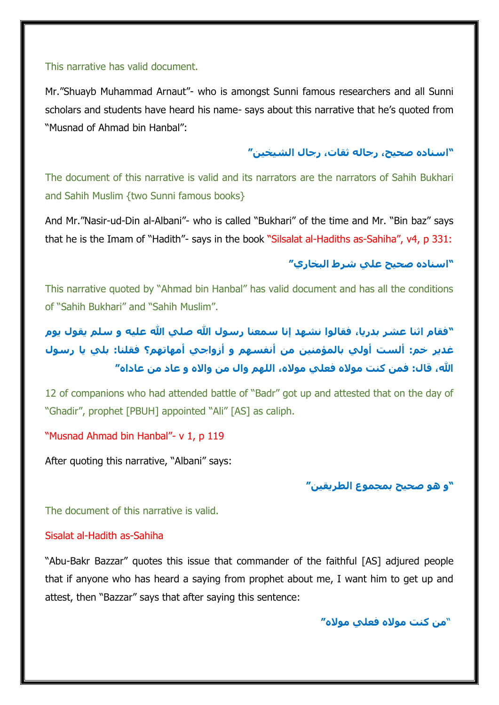#### This narrative has valid document.

Mr."Shuayb Muhammad Arnaut"- who is amongst Sunni famous researchers and all Sunni scholars and students have heard his name- says about this narrative that he's quoted from "Musnad of Ahmad bin Hanbal":

### **"اسناده صحيح، رجاله ثقات، رجال الشيخين"**

The document of this narrative is valid and its narrators are the narrators of Sahih Bukhari and Sahih Muslim {two Sunni famous books}

And Mr."Nasir-ud-Din al-Albani"- who is called "Bukhari" of the time and Mr. "Bin baz" says that he is the Imam of "Hadith"- says in the book "Silsalat al-Hadiths as-Sahiha", v4, p 331:

## **"اسناده صحيح علي شرط البخاري"**

This narrative quoted by "Ahmad bin Hanbal" has valid document and has all the conditions of "Sahih Bukhari" and "Sahih Muslim".

**"فقام اثنا عشر بدريا، فقالوا نشهد إنا سمعنا رسول هللا صلي هللا عليه و سلم يقول يوم غدير خم: ألست أولي بالمؤمنين من أنفسهم و أزواجي أمهاتهم؟ فقلنا: بلي يا رسول هللا، قال: فمن كنت موَله فعلي موَله، اللهم وال من واَله و عاد من عاداه"**

12 of companions who had attended battle of "Badr" got up and attested that on the day of "Ghadir", prophet [PBUH] appointed "Ali" [AS] as caliph.

#### "Musnad Ahmad bin Hanbal"- v 1, p 119

After quoting this narrative, "Albani" says:

## **"و هو صحيح بمجموع الطريقين"**

The document of this narrative is valid.

#### Sisalat al-Hadith as-Sahiha

"Abu-Bakr Bazzar" quotes this issue that commander of the faithful [AS] adjured people that if anyone who has heard a saying from prophet about me, I want him to get up and attest, then "Bazzar" says that after saying this sentence:

"**من كنت موَله فعلي موَله"**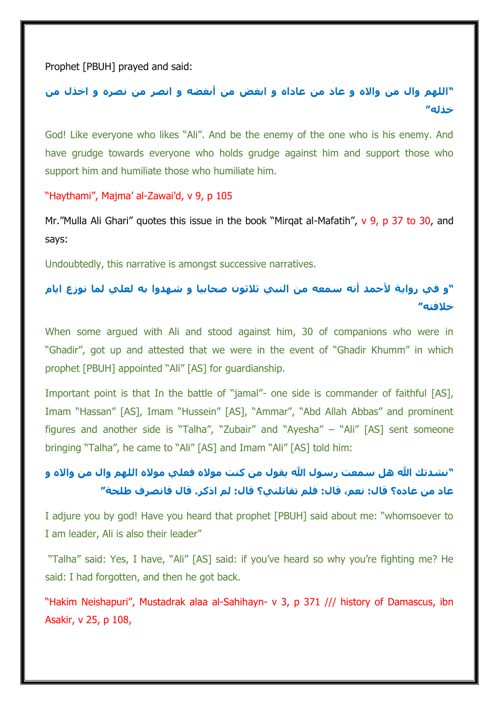Prophet [PBUH] prayed and said:

**"اللهم وال من واَله و عاد من عاداه و ابغض من أبغضه و انصر من نصره و اخذل من خذله"**

God! Like everyone who likes "Ali". And be the enemy of the one who is his enemy. And have grudge towards everyone who holds grudge against him and support those who support him and humiliate those who humiliate him.

"Haythami", Majma' al-Zawai'd, v 9, p 105

Mr."Mulla Ali Ghari" quotes this issue in the book "Mirqat al-Mafatih", v 9, p 37 to 30, and says:

Undoubtedly, this narrative is amongst successive narratives.

## **"و في رواية ألحمد أنه سمعه من النبي ثالثون صحابيا و شهدوا به لعلي لما نوزع ايام خالفته"**

When some argued with Ali and stood against him, 30 of companions who were in "Ghadir", got up and attested that we were in the event of "Ghadir Khumm" in which prophet [PBUH] appointed "Ali" [AS] for guardianship.

Important point is that In the battle of "jamal"- one side is commander of faithful [AS], Imam "Hassan" [AS], Imam "Hussein" [AS], "Ammar", "Abd Allah Abbas" and prominent figures and another side is "Talha", "Zubair" and "Ayesha" – "Ali" [AS] sent someone bringing "Talha", he came to "Ali" [AS] and Imam "Ali" [AS] told him:

## **"نشدتك هللا هل سمعت رسول هللا يقول من كنت موَله فعلي موَله اللهم وال من واَله و عاد من عاده؟ قال: نعم، قال: فلم تقاتلني؟ قال: لم اذكر. قال فانصرف طلحة"**

I adjure you by god! Have you heard that prophet [PBUH] said about me: "whomsoever to I am leader, Ali is also their leader"

"Talha" said: Yes, I have, "Ali" [AS] said: if you've heard so why you're fighting me? He said: I had forgotten, and then he got back.

"Hakim Neishapuri", Mustadrak alaa al-Sahihayn- v 3, p 371 /// history of Damascus, ibn Asakir, v 25, p 108,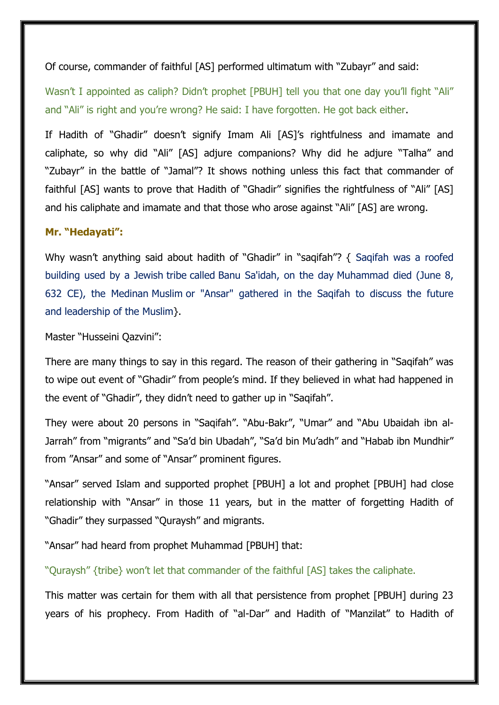Of course, commander of faithful [AS] performed ultimatum with "Zubayr" and said:

Wasn't I appointed as caliph? Didn't prophet [PBUH] tell you that one day you'll fight "Ali" and "Ali" is right and you're wrong? He said: I have forgotten. He got back either.

If Hadith of "Ghadir" doesn't signify Imam Ali [AS]'s rightfulness and imamate and caliphate, so why did "Ali" [AS] adjure companions? Why did he adjure "Talha" and "Zubayr" in the battle of "Jamal"? It shows nothing unless this fact that commander of faithful [AS] wants to prove that Hadith of "Ghadir" signifies the rightfulness of "Ali" [AS] and his caliphate and imamate and that those who arose against "Ali" [AS] are wrong.

### **Mr. "Hedayati":**

Why wasn't anything said about hadith of "Ghadir" in "saqifah"? { Saqifah was a roofed building used by a Jewish tribe called Banu Sa'idah, on the day Muhammad died (June 8, 632 CE), the Medinan Muslim or "Ansar" gathered in the Saqifah to discuss the future and leadership of the Muslim}.

Master "Husseini Qazvini":

There are many things to say in this regard. The reason of their gathering in "Saqifah" was to wipe out event of "Ghadir" from people's mind. If they believed in what had happened in the event of "Ghadir", they didn't need to gather up in "Saqifah".

They were about 20 persons in "Saqifah". "Abu-Bakr", "Umar" and "Abu Ubaidah ibn al-Jarrah" from "migrants" and "Sa'd bin Ubadah", "Sa'd bin Mu'adh" and "Habab ibn Mundhir" from "Ansar" and some of "Ansar" prominent figures.

"Ansar" served Islam and supported prophet [PBUH] a lot and prophet [PBUH] had close relationship with "Ansar" in those 11 years, but in the matter of forgetting Hadith of "Ghadir" they surpassed "Quraysh" and migrants.

"Ansar" had heard from prophet Muhammad [PBUH] that:

"Quraysh" {tribe} won't let that commander of the faithful [AS] takes the caliphate.

This matter was certain for them with all that persistence from prophet [PBUH] during 23 years of his prophecy. From Hadith of "al-Dar" and Hadith of "Manzilat" to Hadith of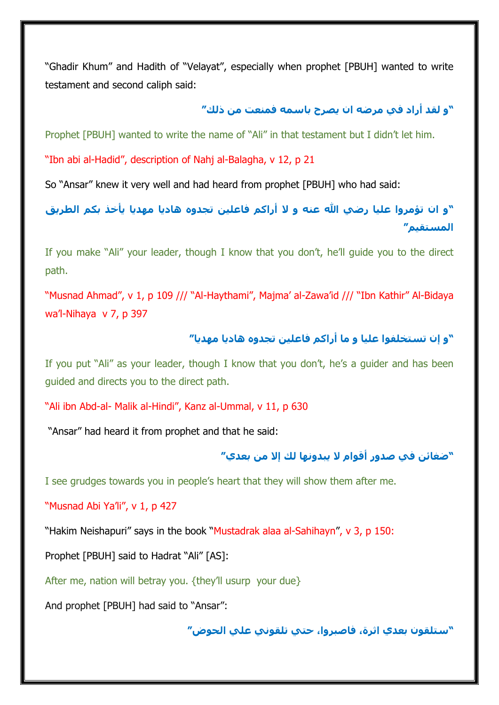"Ghadir Khum" and Hadith of "Velayat", especially when prophet [PBUH] wanted to write testament and second caliph said:

### **"و لقد أراد في مرضه ان يصرح باسمه فمنعت من ذلك"**

Prophet [PBUH] wanted to write the name of "Ali" in that testament but I didn't let him.

"Ibn abi al-Hadid", description of Nahj al-Balagha, v 12, p 21

So "Ansar" knew it very well and had heard from prophet [PBUH] who had said:

**"و ان تؤمروا عليا رضي هللا عنه و َل أراكم فاعلين تجدوه هاديا مهديا ينخذ بكم الطريق المستقيم"**

If you make "Ali" your leader, though I know that you don't, he'll guide you to the direct path.

"Musnad Ahmad", v 1, p 109 /// "Al-Haythami", Majma' al-Zawa'id /// "Ibn Kathir" Al-Bidaya wa'l-Nihaya v 7, p 397

## **"و إن تستخلفوا عليا و ما أراكم فاعلين تجدوه هاديا مهديا"**

If you put "Ali" as your leader, though I know that you don't, he's a guider and has been guided and directs you to the direct path.

"Ali ibn Abd-al- Malik al-Hindi", Kanz al-Ummal, v 11, p 630

"Ansar" had heard it from prophet and that he said:

### **"ضغائن في صدور أقوام َل يبدونها لك إَل من بعدي"**

I see grudges towards you in people's heart that they will show them after me.

"Musnad Abi Ya'li", v 1, p 427

"Hakim Neishapuri" says in the book "Mustadrak alaa al-Sahihayn", v 3, p 150:

Prophet [PBUH] said to Hadrat "Ali" [AS]:

After me, nation will betray you. {they'll usurp your due}

And prophet [PBUH] had said to "Ansar":

**"ستلقون بعدي اثرة، فاصبروا، حتي تلقوني علي الحوض"**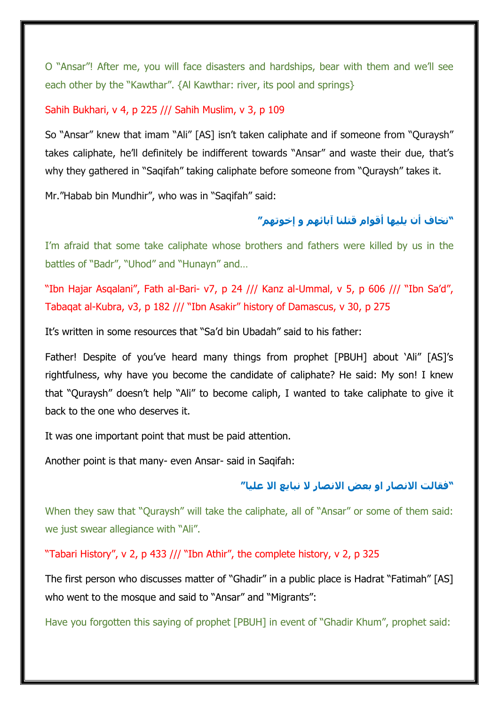O "Ansar"! After me, you will face disasters and hardships, bear with them and we'll see each other by the "Kawthar". {Al Kawthar: river, its pool and springs}

#### Sahih Bukhari, v 4, p 225 /// Sahih Muslim, v 3, p 109

So "Ansar" knew that imam "Ali" [AS] isn't taken caliphate and if someone from "Quraysh" takes caliphate, he'll definitely be indifferent towards "Ansar" and waste their due, that's why they gathered in "Saqifah" taking caliphate before someone from "Quraysh" takes it.

Mr."Habab bin Mundhir", who was in "Saqifah" said:

## **"نخاف أن يليها أقوام قتلنا آبائهم و إخوتهم"**

I'm afraid that some take caliphate whose brothers and fathers were killed by us in the battles of "Badr", "Uhod" and "Hunayn" and…

"Ibn Hajar Asqalani", Fath al-Bari- v7, p 24 /// Kanz al-Ummal, v 5, p 606 /// "Ibn Sa'd", Tabaqat al-Kubra, v3, p 182 /// "Ibn Asakir" history of Damascus, v 30, p 275

It's written in some resources that "Sa'd bin Ubadah" said to his father:

Father! Despite of you've heard many things from prophet [PBUH] about 'Ali" [AS]'s rightfulness, why have you become the candidate of caliphate? He said: My son! I knew that "Quraysh" doesn't help "Ali" to become caliph, I wanted to take caliphate to give it back to the one who deserves it.

It was one important point that must be paid attention.

Another point is that many- even Ansar- said in Saqifah:

#### **"فقالت اَلنصار او بعض اَلنصار َل نبايع اَل عليا"**

When they saw that "Quraysh" will take the caliphate, all of "Ansar" or some of them said: we just swear allegiance with "Ali".

"Tabari History", v 2, p 433 /// "Ibn Athir", the complete history, v 2, p 325

The first person who discusses matter of "Ghadir" in a public place is Hadrat "Fatimah" [AS] who went to the mosque and said to "Ansar" and "Migrants":

Have you forgotten this saying of prophet [PBUH] in event of "Ghadir Khum", prophet said: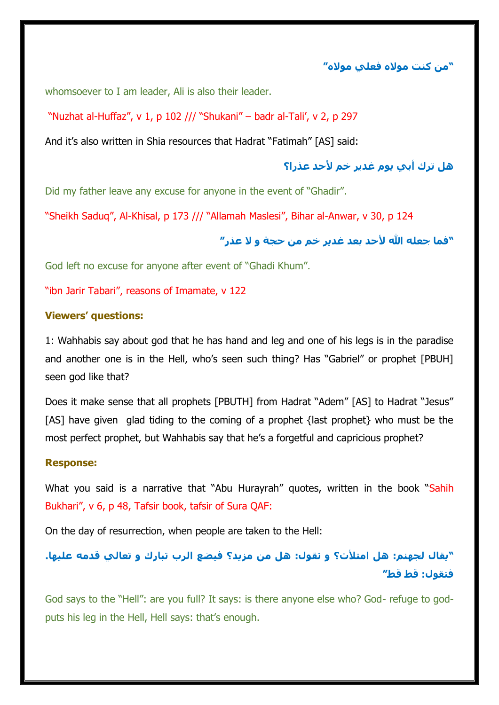**"من كنت موَله فعلي موَله"**

whomsoever to I am leader, Ali is also their leader.

"Nuzhat al-Huffaz", v 1, p 102 /// "Shukani" – badr al-Tali', v 2, p 297

And it's also written in Shia resources that Hadrat "Fatimah" [AS] said:

**هل ترك أبي يوم غدير خم ألحد عذرا؟**

Did my father leave any excuse for anyone in the event of "Ghadir".

"Sheikh Saduq", Al-Khisal, p 173 /// "Allamah Maslesi", Bihar al-Anwar, v 30, p 124

## **"فما جعله هللا ألحد بعد غدير خم من حجة و َل عذر"**

God left no excuse for anyone after event of "Ghadi Khum".

"ibn Jarir Tabari", reasons of Imamate, v 122

#### **Viewers' questions:**

1: Wahhabis say about god that he has hand and leg and one of his legs is in the paradise and another one is in the Hell, who's seen such thing? Has "Gabriel" or prophet [PBUH] seen god like that?

Does it make sense that all prophets [PBUTH] from Hadrat "Adem" [AS] to Hadrat "Jesus" [AS] have given glad tiding to the coming of a prophet {last prophet} who must be the most perfect prophet, but Wahhabis say that he's a forgetful and capricious prophet?

#### **Response:**

What you said is a narrative that "Abu Hurayrah" quotes, written in the book "Sahih Bukhari", v 6, p 48, Tafsir book, tafsir of Sura QAF:

On the day of resurrection, when people are taken to the Hell:

## **"يقال لجهنم: هل امتألت؟ و تقول: هل من مزيد؟ فيضع الرب تبارك و تعالي قدمه عليها. فتقول: قط قط"**

God says to the "Hell": are you full? It says: is there anyone else who? God- refuge to godputs his leg in the Hell, Hell says: that's enough.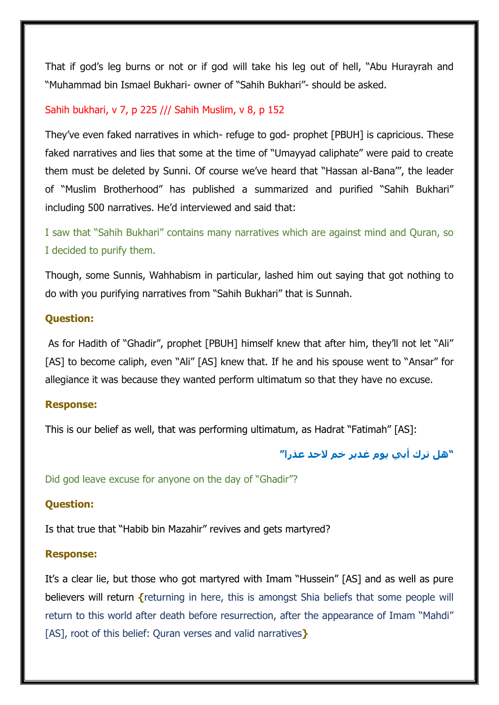That if god's leg burns or not or if god will take his leg out of hell, "Abu Hurayrah and "Muhammad bin Ismael Bukhari- owner of "Sahih Bukhari"- should be asked.

### Sahih bukhari, v 7, p 225 /// Sahih Muslim, v 8, p 152

They've even faked narratives in which- refuge to god- prophet [PBUH] is capricious. These faked narratives and lies that some at the time of "Umayyad caliphate" were paid to create them must be deleted by Sunni. Of course we've heard that "Hassan al-Bana'", the leader of "Muslim Brotherhood" has published a summarized and purified "Sahih Bukhari" including 500 narratives. He'd interviewed and said that:

I saw that "Sahih Bukhari" contains many narratives which are against mind and Quran, so I decided to purify them.

Though, some Sunnis, Wahhabism in particular, lashed him out saying that got nothing to do with you purifying narratives from "Sahih Bukhari" that is Sunnah.

#### **Question:**

As for Hadith of "Ghadir", prophet [PBUH] himself knew that after him, they'll not let "Ali" [AS] to become caliph, even "Ali" [AS] knew that. If he and his spouse went to "Ansar" for allegiance it was because they wanted perform ultimatum so that they have no excuse.

#### **Response:**

This is our belief as well, that was performing ultimatum, as Hadrat "Fatimah" [AS]:

## **"هل ترك أبي يوم غدير خم َلحد عذرا"**

Did god leave excuse for anyone on the day of "Ghadir"?

#### **Question:**

Is that true that "Habib bin Mazahir" revives and gets martyred?

#### **Response:**

It's a clear lie, but those who got martyred with Imam "Hussein" [AS] and as well as pure believers will return **{**returning in here, this is amongst Shia beliefs that some people will return to this world after death before resurrection, after the appearance of Imam "Mahdi" [AS], root of this belief: Quran verses and valid narratives**}**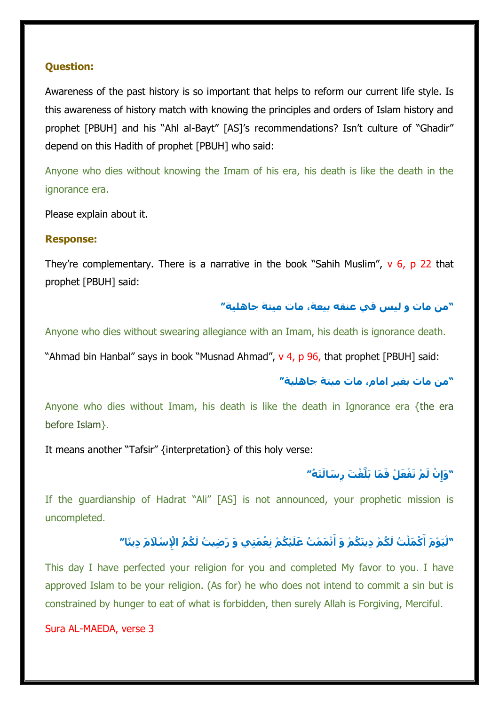### **Question:**

Awareness of the past history is so important that helps to reform our current life style. Is this awareness of history match with knowing the principles and orders of Islam history and prophet [PBUH] and his "Ahl al-Bayt" [AS]'s recommendations? Isn't culture of "Ghadir" depend on this Hadith of prophet [PBUH] who said:

Anyone who dies without knowing the Imam of his era, his death is like the death in the ignorance era.

Please explain about it.

#### **Response:**

They're complementary. There is a narrative in the book "Sahih Muslim",  $v$  6, p 22 that prophet [PBUH] said:

## **"من مات و ليس في عنقه بيعة، مات ميتة جاهلية"**

Anyone who dies without swearing allegiance with an Imam, his death is ignorance death.

"Ahmad bin Hanbal" says in book "Musnad Ahmad", v 4, p 96, that prophet [PBUH] said:

## **"من مات بغير امام، مات ميتة جاهلية"**

Anyone who dies without Imam, his death is like the death in Ignorance era {the era before Islam}.

It means another "Tafsir" {interpretation} of this holy verse:

## **َت ُه" ْم تَ ْف َع ْل َف َما بَلَّ ْغ َت ِّر َسالَ ْن لَ ِّ " َوإ**

If the guardianship of Hadrat "Ali" [AS] is not announced, your prophetic mission is uncompleted.

# "لْيَوْمَ أَكْمَلْتُ لَكُمْ دِينَكُمْ وَ أَتْمَمْتُ عَلَيْكُمْ نِعْمَتِي وَ رَضِيتُ لَكُمُ الْإِسْلَامَ دِينًا

This day I have perfected your religion for you and completed My favor to you. I have approved Islam to be your religion. (As for) he who does not intend to commit a sin but is constrained by hunger to eat of what is forbidden, then surely Allah is Forgiving, Merciful.

Sura AL-MAEDA, verse 3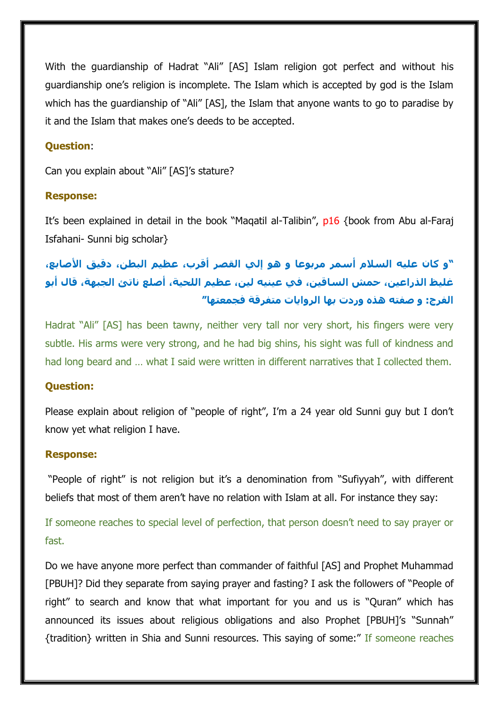With the guardianship of Hadrat "Ali" [AS] Islam religion got perfect and without his guardianship one's religion is incomplete. The Islam which is accepted by god is the Islam which has the guardianship of "Ali" [AS], the Islam that anyone wants to go to paradise by it and the Islam that makes one's deeds to be accepted.

#### **Question**:

Can you explain about "Ali" [AS]'s stature?

#### **Response:**

It's been explained in detail in the book "Maqatil al-Talibin", p16 {book from Abu al-Faraj Isfahani- Sunni big scholar}

# **"و كان عليه السالم أسمر مربوعا و هو إلي القصر أقرب، عظيم البطن، دقيق األصابع، غليظ الذراعين، حمش الساقين، في عينيه لين، عظيم اللحية، أصلع ناتئ الجبهة، قال أبو الفرج: و صفته هذه وردت بها الروايات متفرقة فجمعتها"**

Hadrat "Ali" [AS] has been tawny, neither very tall nor very short, his fingers were very subtle. His arms were very strong, and he had big shins, his sight was full of kindness and had long beard and ... what I said were written in different narratives that I collected them.

#### **Question:**

Please explain about religion of "people of right", I'm a 24 year old Sunni guy but I don't know yet what religion I have.

#### **Response:**

"People of right" is not religion but it's a denomination from "Sufiyyah", with different beliefs that most of them aren't have no relation with Islam at all. For instance they say:

If someone reaches to special level of perfection, that person doesn't need to say prayer or fast.

Do we have anyone more perfect than commander of faithful [AS] and Prophet Muhammad [PBUH]? Did they separate from saying prayer and fasting? I ask the followers of "People of right" to search and know that what important for you and us is "Quran" which has announced its issues about religious obligations and also Prophet [PBUH]'s "Sunnah" {tradition} written in Shia and Sunni resources. This saying of some:" If someone reaches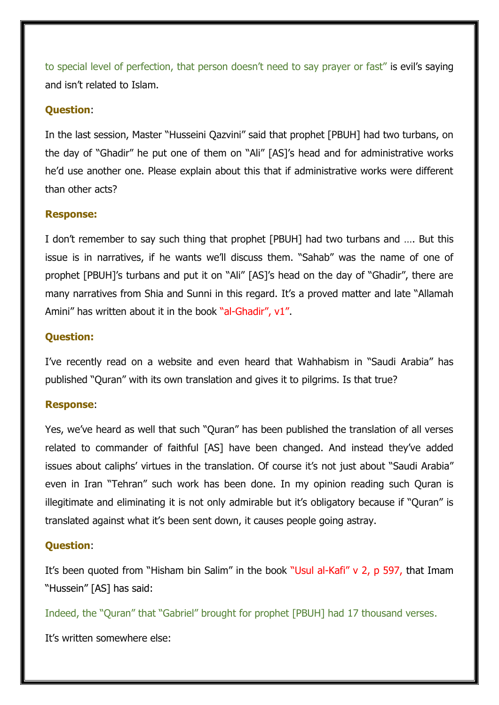to special level of perfection, that person doesn't need to say prayer or fast" is evil's saying and isn't related to Islam.

## **Question**:

In the last session, Master "Husseini Qazvini" said that prophet [PBUH] had two turbans, on the day of "Ghadir" he put one of them on "Ali" [AS]'s head and for administrative works he'd use another one. Please explain about this that if administrative works were different than other acts?

#### **Response:**

I don't remember to say such thing that prophet [PBUH] had two turbans and …. But this issue is in narratives, if he wants we'll discuss them. "Sahab" was the name of one of prophet [PBUH]'s turbans and put it on "Ali" [AS]'s head on the day of "Ghadir", there are many narratives from Shia and Sunni in this regard. It's a proved matter and late "Allamah Amini" has written about it in the book "al-Ghadir", v1".

## **Question:**

I've recently read on a website and even heard that Wahhabism in "Saudi Arabia" has published "Quran" with its own translation and gives it to pilgrims. Is that true?

## **Response**:

Yes, we've heard as well that such "Quran" has been published the translation of all verses related to commander of faithful [AS] have been changed. And instead they've added issues about caliphs' virtues in the translation. Of course it's not just about "Saudi Arabia" even in Iran "Tehran" such work has been done. In my opinion reading such Quran is illegitimate and eliminating it is not only admirable but it's obligatory because if "Quran" is translated against what it's been sent down, it causes people going astray.

## **Question**:

It's been quoted from "Hisham bin Salim" in the book "Usul al-Kafi" v 2, p 597, that Imam "Hussein" [AS] has said:

Indeed, the "Quran" that "Gabriel" brought for prophet [PBUH] had 17 thousand verses.

It's written somewhere else: